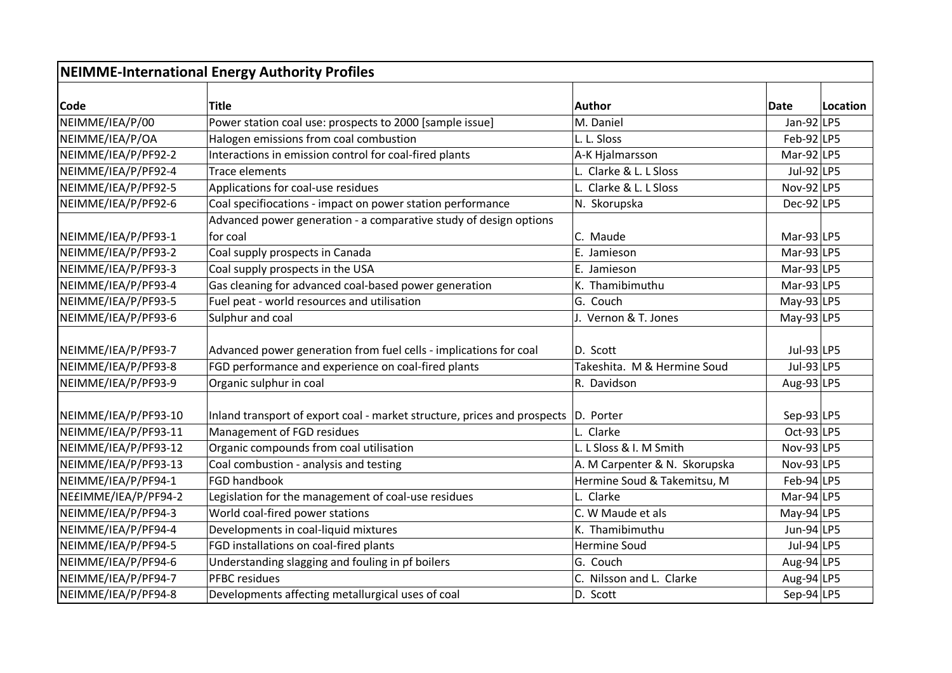| <b>NEIMME-International Energy Authority Profiles</b> |                                                                          |                               |                |          |  |  |  |
|-------------------------------------------------------|--------------------------------------------------------------------------|-------------------------------|----------------|----------|--|--|--|
| Code                                                  | Title                                                                    | Author                        | Date           | Location |  |  |  |
| NEIMME/IEA/P/00                                       | Power station coal use: prospects to 2000 [sample issue]                 | M. Daniel                     | Jan-92 LP5     |          |  |  |  |
| NEIMME/IEA/P/OA                                       | Halogen emissions from coal combustion                                   | L. L. Sloss                   | $Feb-92$  LP5  |          |  |  |  |
| NEIMME/IEA/P/PF92-2                                   | Interactions in emission control for coal-fired plants                   | A-K Hjalmarsson               | Mar-92 $ LP5$  |          |  |  |  |
| NEIMME/IEA/P/PF92-4                                   | Trace elements                                                           | L. Clarke & L. L Sloss        | Jul-92 LP5     |          |  |  |  |
| NEIMME/IEA/P/PF92-5                                   | Applications for coal-use residues                                       | L. Clarke & L. L Sloss        | Nov-92 $ LP5$  |          |  |  |  |
| NEIMME/IEA/P/PF92-6                                   | Coal specifiocations - impact on power station performance               | N. Skorupska                  | $Dec-92$ LP5   |          |  |  |  |
|                                                       | Advanced power generation - a comparative study of design options        |                               |                |          |  |  |  |
| NEIMME/IEA/P/PF93-1                                   | for coal                                                                 | C. Maude                      | Mar-93 LP5     |          |  |  |  |
| NEIMME/IEA/P/PF93-2                                   | Coal supply prospects in Canada                                          | E. Jamieson                   | Mar-93 $ LP5$  |          |  |  |  |
| NEIMME/IEA/P/PF93-3                                   | Coal supply prospects in the USA                                         | E. Jamieson                   | Mar-93 LP5     |          |  |  |  |
| NEIMME/IEA/P/PF93-4                                   | Gas cleaning for advanced coal-based power generation                    | K. Thamibimuthu               | Mar-93 $ LP5$  |          |  |  |  |
| NEIMME/IEA/P/PF93-5                                   | Fuel peat - world resources and utilisation                              | G. Couch                      | $May-93 LP5$   |          |  |  |  |
| NEIMME/IEA/P/PF93-6                                   | Sulphur and coal                                                         | J. Vernon & T. Jones          | May-93 $ LP5$  |          |  |  |  |
| NEIMME/IEA/P/PF93-7                                   | Advanced power generation from fuel cells - implications for coal        | D. Scott                      | Jul-93 $ LP5$  |          |  |  |  |
| NEIMME/IEA/P/PF93-8                                   | FGD performance and experience on coal-fired plants                      | Takeshita. M & Hermine Soud   | Jul-93 $ LP5$  |          |  |  |  |
| NEIMME/IEA/P/PF93-9                                   | Organic sulphur in coal                                                  | R. Davidson                   | Aug-93 LP5     |          |  |  |  |
| NEIMME/IEA/P/PF93-10                                  | Inland transport of export coal - market structure, prices and prospects | D. Porter                     | Sep-93 $ LP5$  |          |  |  |  |
| NEIMME/IEA/P/PF93-11                                  | Management of FGD residues                                               | L. Clarke                     | $Oct-93$ LP5   |          |  |  |  |
| NEIMME/IEA/P/PF93-12                                  | Organic compounds from coal utilisation                                  | L. L Sloss & I. M Smith       | Nov-93 $ LP5$  |          |  |  |  |
| NEIMME/IEA/P/PF93-13                                  | Coal combustion - analysis and testing                                   | A. M Carpenter & N. Skorupska | Nov-93 $ LP5$  |          |  |  |  |
| NEIMME/IEA/P/PF94-1                                   | <b>FGD handbook</b>                                                      | Hermine Soud & Takemitsu, M   | $Feb-94$ LP5   |          |  |  |  |
| NE£IMME/IEA/P/PF94-2                                  | Legislation for the management of coal-use residues                      | L. Clarke                     | $Mar-94$   LP5 |          |  |  |  |
| NEIMME/IEA/P/PF94-3                                   | World coal-fired power stations                                          | C. W Maude et als             | May-94 LP5     |          |  |  |  |
| NEIMME/IEA/P/PF94-4                                   | Developments in coal-liquid mixtures                                     | K. Thamibimuthu               | Jun-94 LP5     |          |  |  |  |
| NEIMME/IEA/P/PF94-5                                   | FGD installations on coal-fired plants                                   | <b>Hermine Soud</b>           | Jul-94 LP5     |          |  |  |  |
| NEIMME/IEA/P/PF94-6                                   | Understanding slagging and fouling in pf boilers                         | G. Couch                      | Aug-94 LP5     |          |  |  |  |
| NEIMME/IEA/P/PF94-7                                   | <b>PFBC</b> residues                                                     | C. Nilsson and L. Clarke      | Aug-94 LP5     |          |  |  |  |
| NEIMME/IEA/P/PF94-8                                   | Developments affecting metallurgical uses of coal                        | D. Scott                      | Sep-94 LP5     |          |  |  |  |